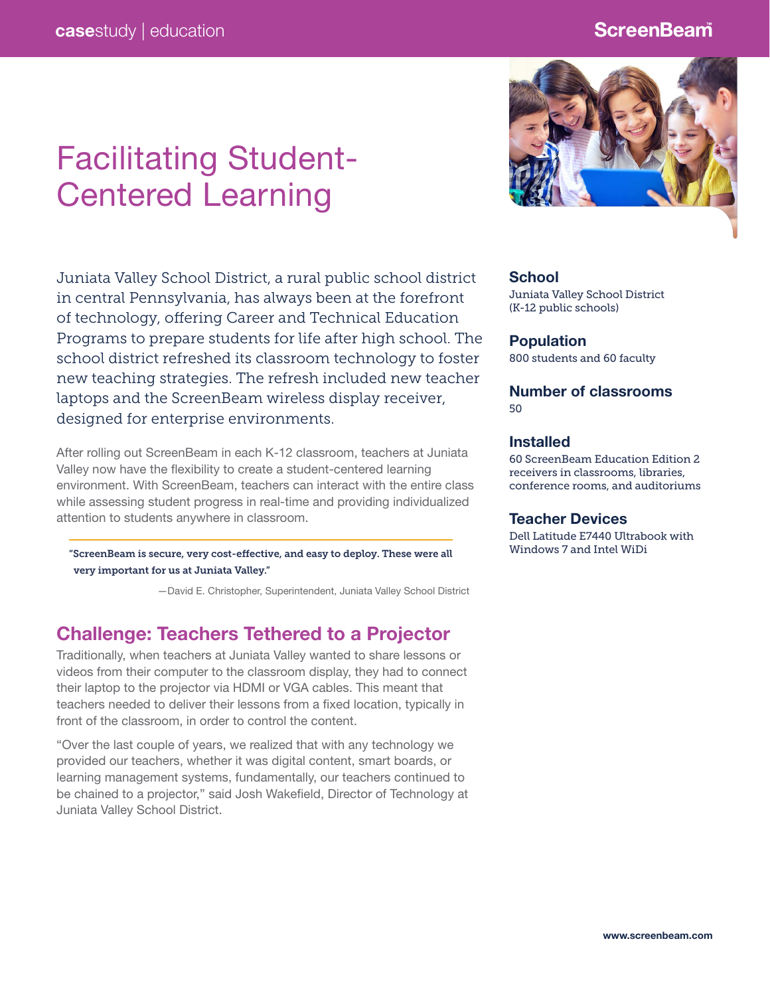### **ScreenBeam**

# Facilitating Student-Centered Learning

Juniata Valley School District, a rural public school district in central Pennsylvania, has always been at the forefront of technology, offering Career and Technical Education Programs to prepare students for life after high school. The school district refreshed its classroom technology to foster new teaching strategies. The refresh included new teacher laptops and the ScreenBeam wireless display receiver, designed for enterprise environments.

After rolling out ScreenBeam in each K-12 classroom, teachers at Juniata Valley now have the flexibility to create a student-centered learning environment. With ScreenBeam, teachers can interact with the entire class while assessing student progress in real-time and providing individualized attention to students anywhere in classroom.

"ScreenBeam is secure, very cost-effective, and easy to deploy. These were all very important for us at Juniata Valley."

—David E. Christopher, Superintendent, Juniata Valley School District

### Challenge: Teachers Tethered to a Projector

Traditionally, when teachers at Juniata Valley wanted to share lessons or videos from their computer to the classroom display, they had to connect their laptop to the projector via HDMI or VGA cables. This meant that teachers needed to deliver their lessons from a fixed location, typically in front of the classroom, in order to control the content.

"Over the last couple of years, we realized that with any technology we provided our teachers, whether it was digital content, smart boards, or learning management systems, fundamentally, our teachers continued to be chained to a projector," said Josh Wakefield, Director of Technology at Juniata Valley School District.



#### **School**

Juniata Valley School District (K-12 public schools)

#### Population

800 students and 60 faculty

#### Number of classrooms 50

#### Installed

60 ScreenBeam Education Edition 2 receivers in classrooms, libraries, conference rooms, and auditoriums

#### Teacher Devices

Dell Latitude E7440 Ultrabook with Windows 7 and Intel WiDi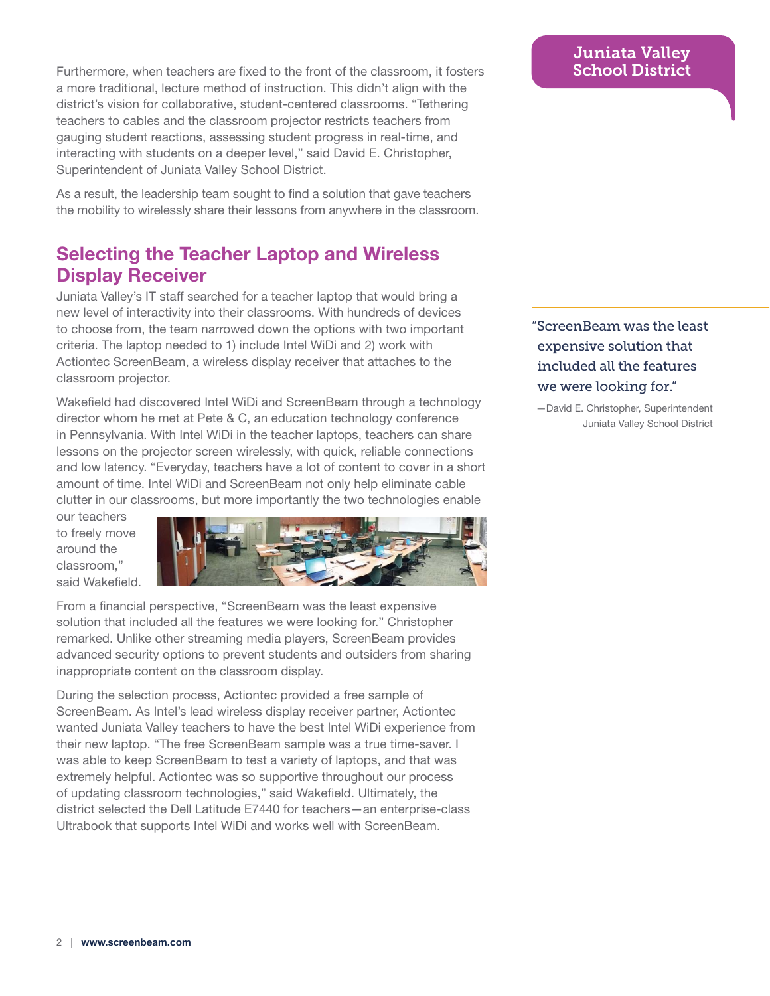Furthermore, when teachers are fixed to the front of the classroom, it fosters a more traditional, lecture method of instruction. This didn't align with the district's vision for collaborative, student-centered classrooms. "Tethering teachers to cables and the classroom projector restricts teachers from gauging student reactions, assessing student progress in real-time, and interacting with students on a deeper level," said David E. Christopher, Superintendent of Juniata Valley School District.

As a result, the leadership team sought to find a solution that gave teachers the mobility to wirelessly share their lessons from anywhere in the classroom.

# Selecting the Teacher Laptop and Wireless Display Receiver

Juniata Valley's IT staff searched for a teacher laptop that would bring a new level of interactivity into their classrooms. With hundreds of devices to choose from, the team narrowed down the options with two important criteria. The laptop needed to 1) include Intel WiDi and 2) work with Actiontec ScreenBeam, a wireless display receiver that attaches to the classroom projector.

Wakefield had discovered Intel WiDi and ScreenBeam through a technology director whom he met at Pete & C, an education technology conference in Pennsylvania. With Intel WiDi in the teacher laptops, teachers can share lessons on the projector screen wirelessly, with quick, reliable connections and low latency. "Everyday, teachers have a lot of content to cover in a short amount of time. Intel WiDi and ScreenBeam not only help eliminate cable clutter in our classrooms, but more importantly the two technologies enable

our teachers to freely move around the classroom," said Wakefield.



From a financial perspective, "ScreenBeam was the least expensive solution that included all the features we were looking for." Christopher remarked. Unlike other streaming media players, ScreenBeam provides advanced security options to prevent students and outsiders from sharing inappropriate content on the classroom display.

During the selection process, Actiontec provided a free sample of ScreenBeam. As Intel's lead wireless display receiver partner, Actiontec wanted Juniata Valley teachers to have the best Intel WiDi experience from their new laptop. "The free ScreenBeam sample was a true time-saver. I was able to keep ScreenBeam to test a variety of laptops, and that was extremely helpful. Actiontec was so supportive throughout our process of updating classroom technologies," said Wakefield. Ultimately, the district selected the Dell Latitude E7440 for teachers—an enterprise-class Ultrabook that supports Intel WiDi and works well with ScreenBeam.

### Juniata Valley School District

"ScreenBeam was the least expensive solution that included all the features we were looking for."

—David E. Christopher, Superintendent Juniata Valley School District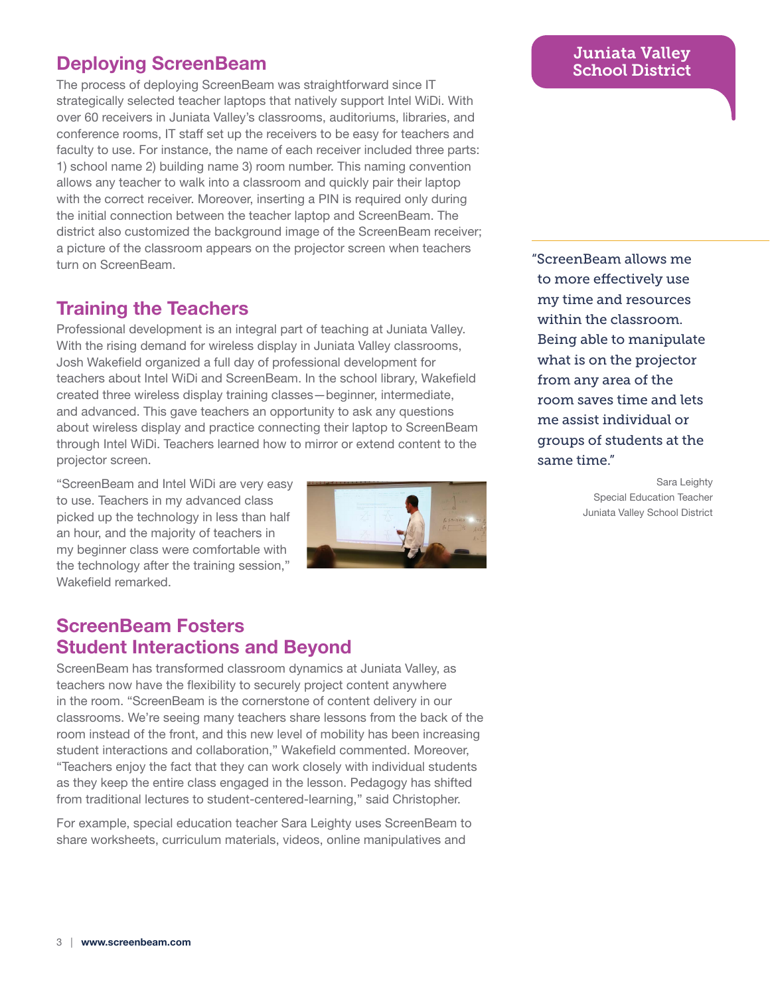# Deploying ScreenBeam

The process of deploying ScreenBeam was straightforward since IT strategically selected teacher laptops that natively support Intel WiDi. With over 60 receivers in Juniata Valley's classrooms, auditoriums, libraries, and conference rooms, IT staff set up the receivers to be easy for teachers and faculty to use. For instance, the name of each receiver included three parts: 1) school name 2) building name 3) room number. This naming convention allows any teacher to walk into a classroom and quickly pair their laptop with the correct receiver. Moreover, inserting a PIN is required only during the initial connection between the teacher laptop and ScreenBeam. The district also customized the background image of the ScreenBeam receiver; a picture of the classroom appears on the projector screen when teachers turn on ScreenBeam.

# Training the Teachers

Professional development is an integral part of teaching at Juniata Valley. With the rising demand for wireless display in Juniata Valley classrooms, Josh Wakefield organized a full day of professional development for teachers about Intel WiDi and ScreenBeam. In the school library, Wakefield created three wireless display training classes—beginner, intermediate, and advanced. This gave teachers an opportunity to ask any questions about wireless display and practice connecting their laptop to ScreenBeam through Intel WiDi. Teachers learned how to mirror or extend content to the projector screen.

"ScreenBeam and Intel WiDi are very easy to use. Teachers in my advanced class picked up the technology in less than half an hour, and the majority of teachers in my beginner class were comfortable with the technology after the training session," Wakefield remarked.



## ScreenBeam Fosters Student Interactions and Beyond

ScreenBeam has transformed classroom dynamics at Juniata Valley, as teachers now have the flexibility to securely project content anywhere in the room. "ScreenBeam is the cornerstone of content delivery in our classrooms. We're seeing many teachers share lessons from the back of the room instead of the front, and this new level of mobility has been increasing student interactions and collaboration," Wakefield commented. Moreover, "Teachers enjoy the fact that they can work closely with individual students as they keep the entire class engaged in the lesson. Pedagogy has shifted from traditional lectures to student-centered-learning," said Christopher.

For example, special education teacher Sara Leighty uses ScreenBeam to share worksheets, curriculum materials, videos, online manipulatives and

### Juniata Valley School District

"ScreenBeam allows me to more effectively use my time and resources within the classroom. Being able to manipulate what is on the projector from any area of the room saves time and lets me assist individual or groups of students at the same time."

> Sara Leighty Special Education Teacher Juniata Valley School District